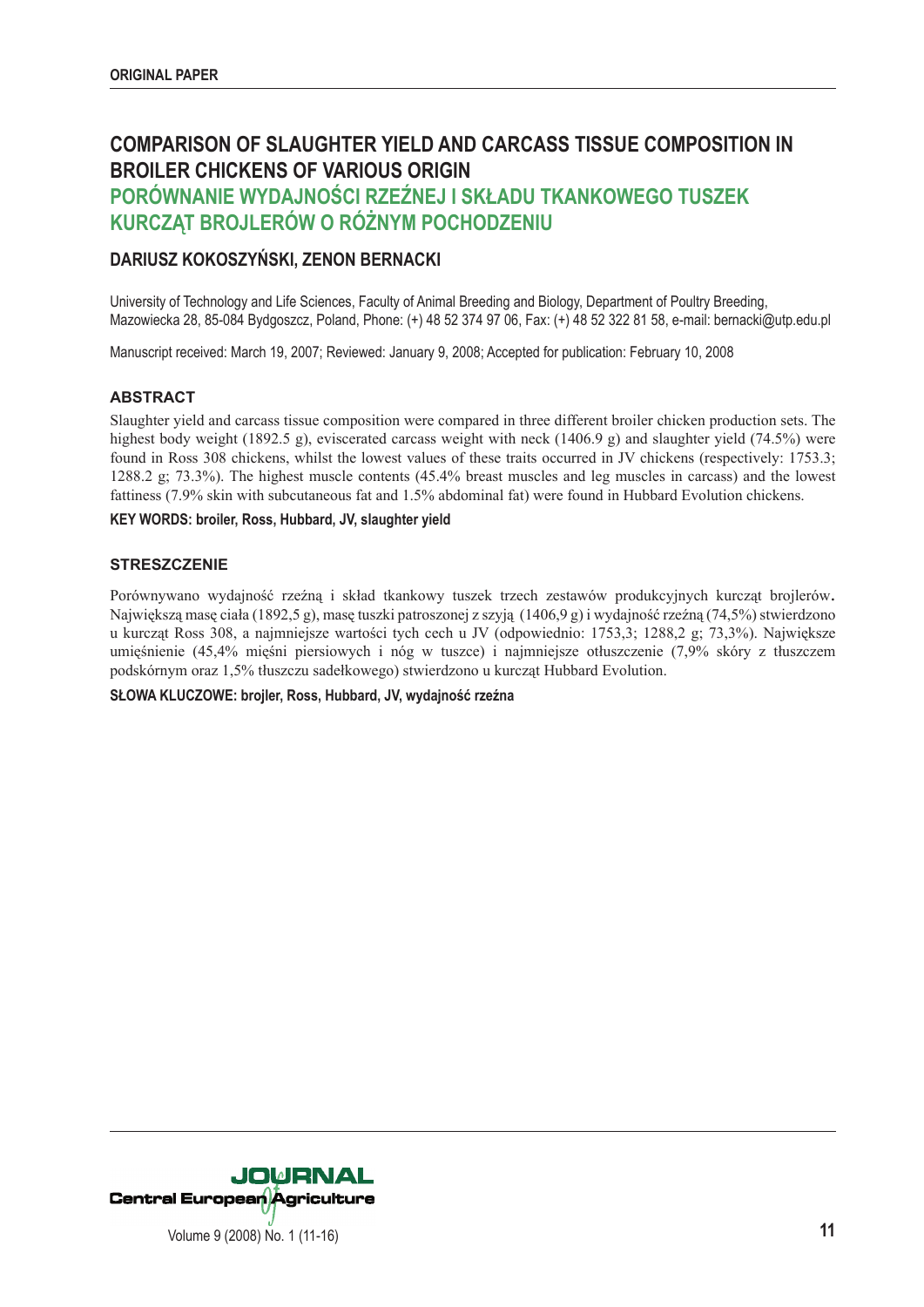# **COMPARISON OF SLAUGHTER YIELD AND CARCASS TISSUE COMPOSITION IN BROILER CHICKENS OF VARIOUS ORIGIN**

## **PORÓWNANIE WYDAJNOŚCI RZEŹNEJ I SKŁADU TKANKOWEGO TUSZEK KURCZĄT BROJLERÓW O RÓŻNYM POCHODZENIU**

## **DARIUSZ KOKOSZYŃSKI, ZENON BERNACKI**

University of Technology and Life Sciences, Faculty of Animal Breeding and Biology, Department of Poultry Breeding, Mazowiecka 28, 85-084 Bydgoszcz, Poland, Phone: (+) 48 52 374 97 06, Fax: (+) 48 52 322 81 58, e-mail: bernacki@utp.edu.pl

Manuscript received: March 19, 2007; Reviewed: January 9, 2008; Accepted for publication: February 10, 2008

#### **ABSTRACT**

Slaughter yield and carcass tissue composition were compared in three different broiler chicken production sets. The highest body weight (1892.5 g), eviscerated carcass weight with neck (1406.9 g) and slaughter yield (74.5%) were found in Ross 308 chickens, whilst the lowest values of these traits occurred in JV chickens (respectively: 1753.3; 1288.2 g; 73.3%). The highest muscle contents (45.4% breast muscles and leg muscles in carcass) and the lowest fattiness (7.9% skin with subcutaneous fat and 1.5% abdominal fat) were found in Hubbard Evolution chickens.

#### **KEY WORDS: broiler, Ross, Hubbard, JV, slaughter yield**

#### **STRESZCZENIE**

Porównywano wydajność rzeźną i skład tkankowy tuszek trzech zestawów produkcyjnych kurcząt brojlerów.<br>Największą masę ciała (1892,5 g), masę tuszki patroszonej z szyją (1406,9 g) i wydajność rzeźną (74,5%) stwierdzono u kurcząt Ross 308, a najmniejsze wartości tych cech u JV (odpowiednio: 1753,3; 1288,2 g; 73,3%). Największe umięśnienie (45,4% mięśni piersiowych i nóg w tuszce) i najmniejsze otłuszczenie (7,9% skóry z tłuszczem podskórnym oraz 1,5% tłuszczu sadełkowego) stwierdzono u kurcząt Hubbard Evolution.

**SŁOWA KLUCZOWE: brojler, Ross, Hubbard, JV, wydajność rzeźna**

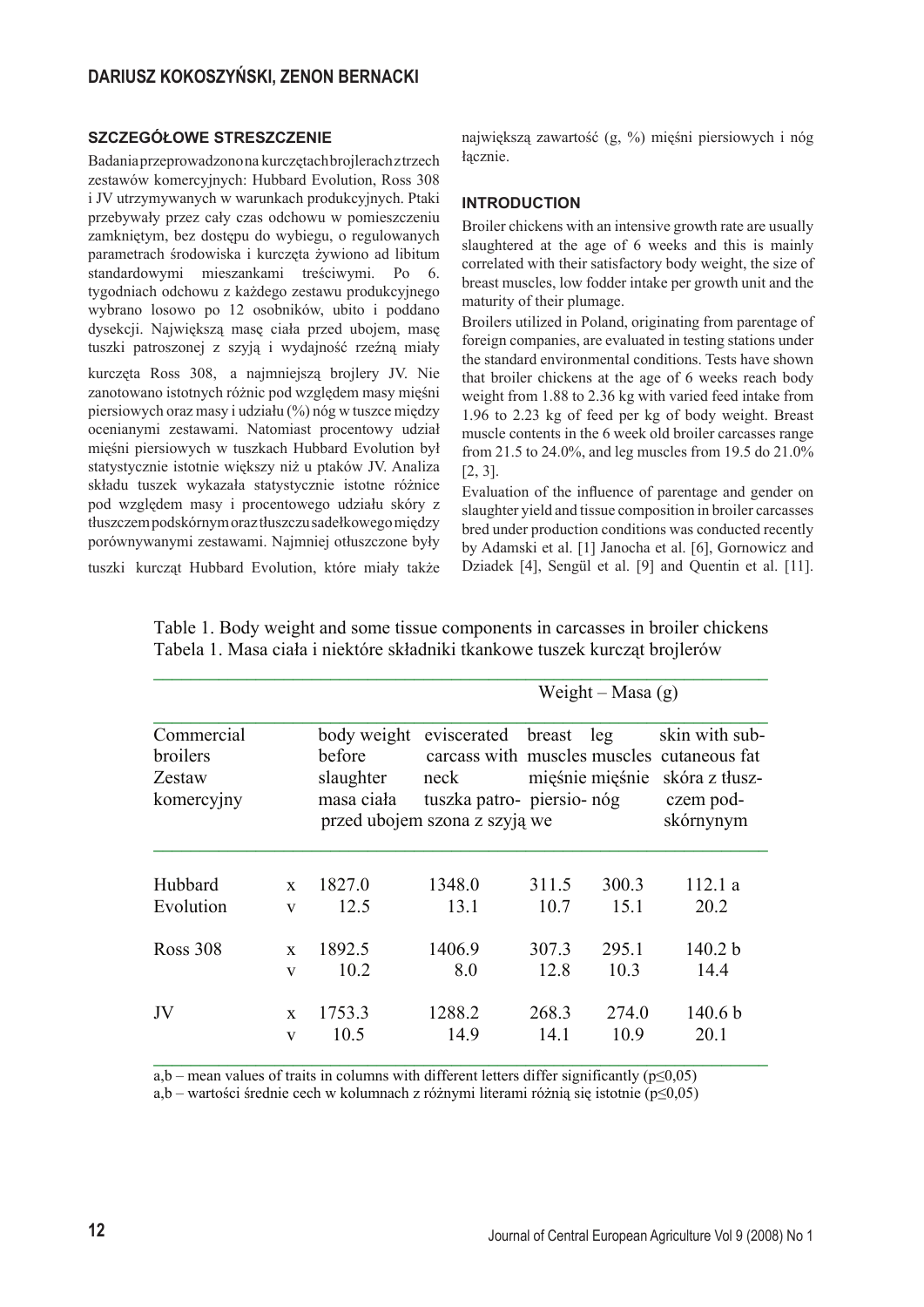### **SZCZEGÓŁOWE STRESZCZENIE**

Badania przeprowadzono na kurczętach brojlerach z trzech zestawów komercyjnych: Hubbard Evolution, Ross 308 i JV utrzymywanych w warunkach produkcyjnych. Ptaki przebywały przez cały czas odchowu w pomieszczeniu zamkniętym, bez dostępu do wybiegu, o regulowanych parametrach środowiska i kurczęta żywiono ad libitum standardowymi mieszankami treściwymi. Po 6. tygodniach odchowu z każdego zestawu produkcyjnego wybrano losowo po 12 osobników, ubito i poddano dysekcji. Największą masę ciała przed ubojem, masę tuszki patroszonej z szyją i wydajność rzeźną miały

kurczęta Ross 308, a najmniejszą brojlery JV. Nie zanotowano istotnych różnic pod względem masy mięśni piersiowych oraz masy i udziału (%) nóg w tuszce między ocenianymi zestawami. Natomiast procentowy udział mięśni piersiowych w tuszkach Hubbard Evolution był statystycznie istotnie większy niż u ptaków JV. Analiza składu tuszek wykazała statystycznie istotne różnice pod względem masy i procentowego udziału skóry z tłuszczem podskórnym oraz tłuszczu sadełkowego między porównywanymi zestawami. Najmniej otłuszczone były

tuszki kurcząt Hubbard Evolution, które miały także

największą zawartość (g, %) mięśni piersiowych i nóg łącznie.

### **INTRODUCTION**

Broiler chickens with an intensive growth rate are usually slaughtered at the age of 6 weeks and this is mainly correlated with their satisfactory body weight, the size of breast muscles, low fodder intake per growth unit and the maturity of their plumage.

Broilers utilized in Poland, originating from parentage of foreign companies, are evaluated in testing stations under the standard environmental conditions. Tests have shown that broiler chickens at the age of 6 weeks reach body weight from 1.88 to 2.36 kg with varied feed intake from 1.96 to 2.23 kg of feed per kg of body weight. Breast muscle contents in the 6 week old broiler carcasses range from 21.5 to 24.0%, and leg muscles from 19.5 do 21.0% [2, 3].

Evaluation of the influence of parentage and gender on slaughter yield and tissue composition in broiler carcasses bred under production conditions was conducted recently by Adamski et al. [1] Janocha et al. [6], Gornowicz and Dziadek [4], Sengül et al. [9] and Quentin et al. [11].

|                                                |              | Weight – Masa $(g)$                              |                                                      |                                                                                                              |       |                                                            |  |  |
|------------------------------------------------|--------------|--------------------------------------------------|------------------------------------------------------|--------------------------------------------------------------------------------------------------------------|-------|------------------------------------------------------------|--|--|
| Commercial<br>broilers<br>Zestaw<br>komercyjny |              | body weight<br>before<br>slaughter<br>masa ciała | eviscerated<br>neck<br>przed ubojem szona z szyją we | breast<br>leg<br>carcass with muscles muscles cutaneous fat<br>mięśnie mięśnie<br>tuszka patro- piersio- nóg |       | skin with sub-<br>skóra z tłusz-<br>czem pod-<br>skórnynym |  |  |
| Hubbard                                        | $\mathbf{x}$ | 1827.0                                           | 1348.0                                               | 311.5                                                                                                        | 300.3 | 112.1 a                                                    |  |  |
| Evolution                                      | $\mathbf{V}$ | 12.5                                             | 13.1                                                 | 10.7                                                                                                         | 15.1  | 20.2                                                       |  |  |
| <b>Ross 308</b>                                | X            | 1892.5                                           | 1406.9                                               | 307.3                                                                                                        | 295.1 | 140.2 b                                                    |  |  |
|                                                | $\mathbf{V}$ | 10.2                                             | 8.0                                                  | 12.8                                                                                                         | 10.3  | 14.4                                                       |  |  |
| JV                                             | X            | 1753.3                                           | 1288.2                                               | 268.3                                                                                                        | 274.0 | 140.6 <sub>b</sub>                                         |  |  |
|                                                | $\mathbf{V}$ | 10.5                                             | 149                                                  | 14 1                                                                                                         | 10.9  | 20.1                                                       |  |  |

Table 1. Body weight and some tissue components in carcasses in broiler chickens Tabela 1. Masa ciała i niektóre składniki tkankowe tuszek kurczat brojlerów

a,b – mean values of traits in columns with different letters differ significantly ( $p \le 0.05$ )

a,b – wartości średnie cech w kolumnach z różnymi literami różnią się istotnie ( $p \le 0.05$ )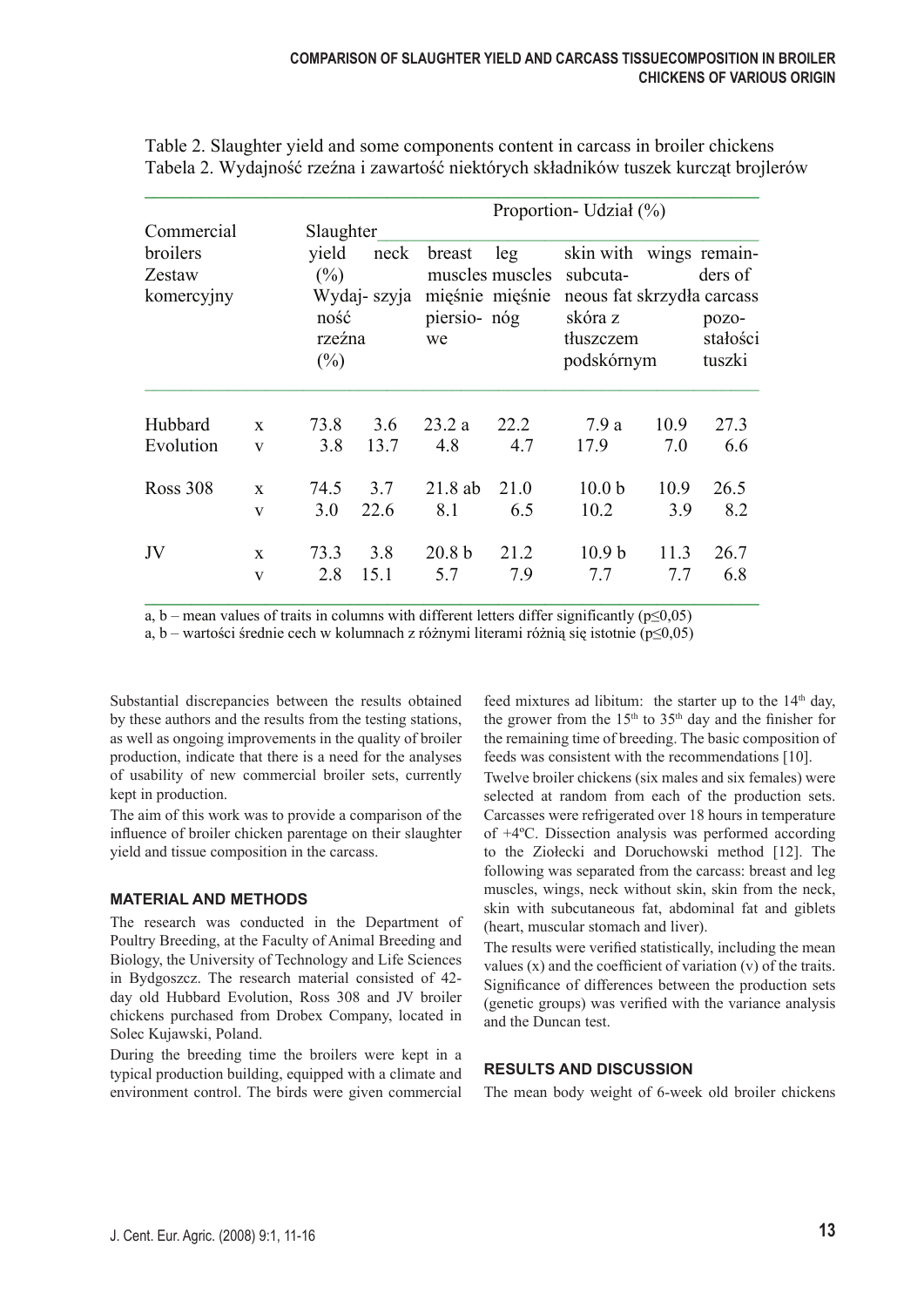|            |              | Proportion- Udział (%)                          |      |                                                          |      |                                    |         |                             |  |
|------------|--------------|-------------------------------------------------|------|----------------------------------------------------------|------|------------------------------------|---------|-----------------------------|--|
| Commercial |              | Slaughter                                       |      |                                                          |      |                                    |         |                             |  |
| broilers   |              | yield                                           | neck | breast                                                   | leg  | skin with                          |         | wings remain-               |  |
| Zestaw     |              | (%)<br>Wydaj- szyja<br>ność<br>rzeźna<br>$(\%)$ |      | muscles muscles<br>mięśnie mięśnie<br>piersio- nóg<br>we |      | subcuta-                           | ders of |                             |  |
| komercyjny |              |                                                 |      |                                                          |      | neous fat skrzydła carcass         |         |                             |  |
|            |              |                                                 |      |                                                          |      | skóra z<br>thuszczem<br>podskórnym |         | pozo-<br>stałości<br>tuszki |  |
|            |              |                                                 |      |                                                          |      |                                    |         |                             |  |
|            |              |                                                 |      |                                                          |      |                                    |         |                             |  |
| Hubbard    | $\mathbf{x}$ | 73.8                                            | 3.6  | 23.2 a                                                   | 22.2 | 7.9a                               | 10.9    | 27.3                        |  |
| Evolution  | V            | 3.8                                             | 13.7 | 4.8                                                      | 4.7  | 17.9                               | 7.0     | 6.6                         |  |
| Ross 308   | $\mathbf{x}$ | 74.5                                            | 3.7  | $21.8$ ab                                                | 21.0 | 10.0 <sub>b</sub>                  | 10.9    | 26.5                        |  |
|            | $\mathbf{V}$ | 3.0                                             | 22.6 | 8.1                                                      | 6.5  | 10.2                               | 3.9     | 8.2                         |  |
| JV         | $\mathbf{x}$ | 73.3                                            | 3.8  | 20.8 <sub>b</sub>                                        | 21.2 | 10.9 <sub>b</sub>                  | 11.3    | 26.7                        |  |
|            | V            | 2.8                                             | 15.1 | 5.7                                                      | 7.9  | 7.7                                | 7.7     | 6.8                         |  |

Table 2. Slaughter yield and some components content in carcass in broiler chickens Tabela 2. Wydajność rzeźna i zawartość niektórych składników tuszek kurcząt brojlerów

a, b – mean values of traits in columns with different letters differ significantly ( $p\leq 0.05$ )

a, b – wartości średnie cech w kolumnach z różnymi literami różnią się istotnie (p $\leq 0.05$ )

Substantial discrepancies between the results obtained by these authors and the results from the testing stations, as well as ongoing improvements in the quality of broiler production, indicate that there is a need for the analyses of usability of new commercial broiler sets, currently kept in production.

The aim of this work was to provide a comparison of the influence of broiler chicken parentage on their slaughter yield and tissue composition in the carcass.

#### **MATERIAL AND METHODS**

The research was conducted in the Department of Poultry Breeding, at the Faculty of Animal Breeding and Biology, the University of Technology and Life Sciences in Bydgoszcz. The research material consisted of 42 day old Hubbard Evolution, Ross 308 and JV broiler chickens purchased from Drobex Company, located in Solec Kujawski, Poland.

During the breeding time the broilers were kept in a typical production building, equipped with a climate and environment control. The birds were given commercial

feed mixtures ad libitum: the starter up to the  $14<sup>th</sup>$  day, the grower from the  $15<sup>th</sup>$  to  $35<sup>th</sup>$  day and the finisher for the remaining time of breeding. The basic composition of feeds was consistent with the recommendations [10].

Twelve broiler chickens (six males and six females) were selected at random from each of the production sets. Carcasses were refrigerated over 18 hours in temperature of +4ºC. Dissection analysis was performed according to the Ziołecki and Doruchowski method [12]. The following was separated from the carcass: breast and leg muscles, wings, neck without skin, skin from the neck, skin with subcutaneous fat, abdominal fat and giblets (heart, muscular stomach and liver).

The results were verified statistically, including the mean values (x) and the coefficient of variation (v) of the traits. Significance of differences between the production sets (genetic groups) was verified with the variance analysis and the Duncan test.

## **RESULTS AND DISCUSSION**

The mean body weight of 6-week old broiler chickens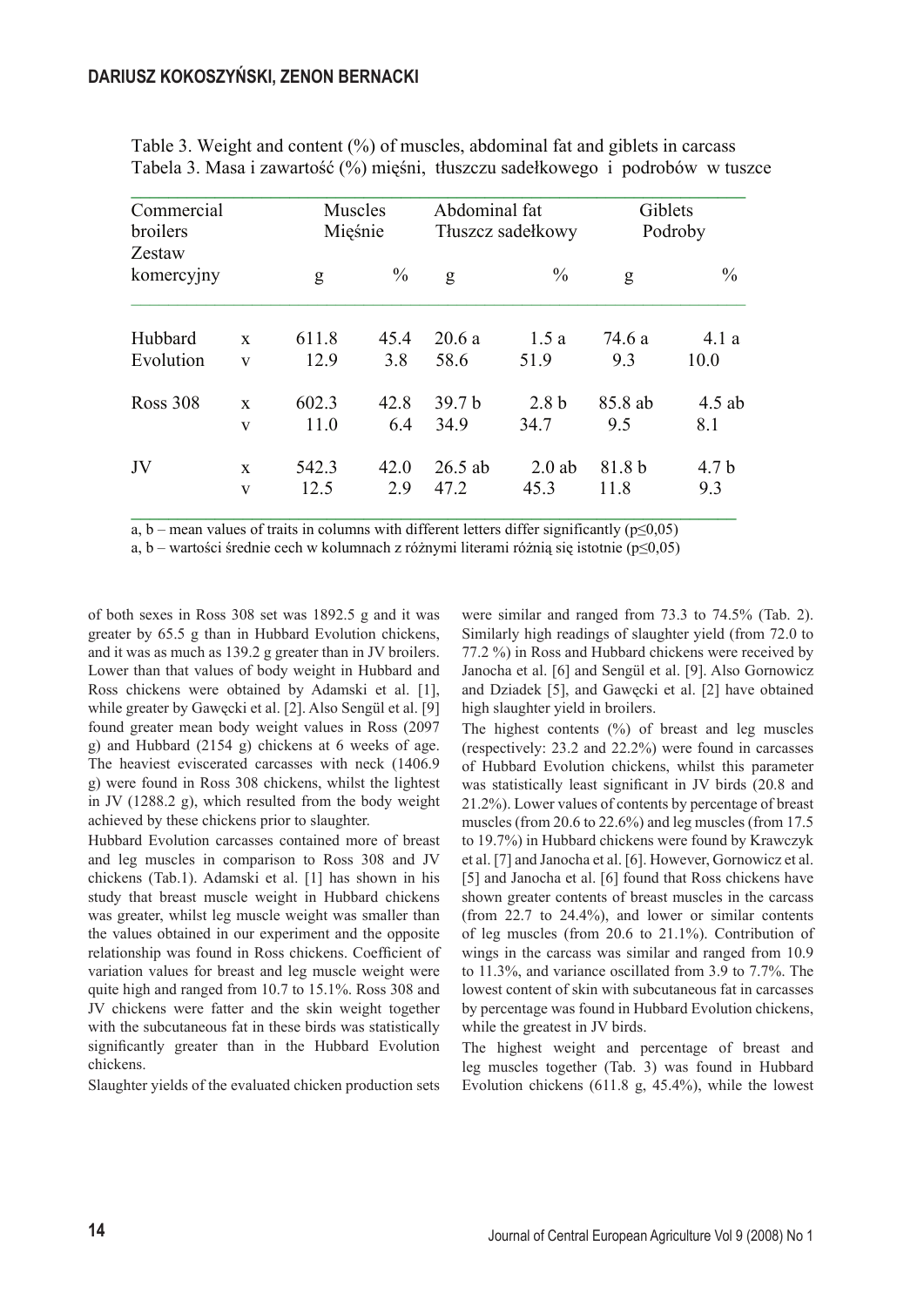| Commercial<br>broilers<br>Zestaw |                   | Muscles<br>Mięśnie |               | Abdominal fat<br>Tłuszcz sadełkowy |                          | Giblets<br>Podroby |                 |
|----------------------------------|-------------------|--------------------|---------------|------------------------------------|--------------------------|--------------------|-----------------|
| komercyjny                       |                   | g                  | $\frac{0}{0}$ | g                                  | $\frac{0}{0}$            | g                  | $\frac{0}{0}$   |
| Hubbard                          | $\mathbf{x}$      | 611.8              | 45.4          | 20.6a                              | 1.5a                     | 74.6 a             | 4.1a            |
| Evolution                        | V                 | 12.9               | 3.8           | 58.6                               | 51.9                     | 9.3                | 10.0            |
| Ross 308                         | $\mathbf{x}$<br>V | 602.3<br>11.0      | 42.8<br>6.4   | 39.7 <sub>b</sub><br>34.9          | 2.8 <sub>b</sub><br>34.7 | 85.8 ab<br>9.5     | $4.5$ ab<br>8.1 |
| JV                               | $\mathbf{X}$<br>V | 542.3<br>12.5      | 42.0<br>2.9   | $26.5$ ab<br>47.2                  | $2.0$ ab<br>45.3         | 81.8 b<br>11.8     | 4.7 b<br>9.3    |

Table 3. Weight and content (%) of muscles, abdominal fat and giblets in carcass Tabela 3. Masa i zawarto�� (%) mi��ni, t�uszczu sade�kowego i podrobów w tuszce

 $\overline{a}$ ,  $\overline{b}$  – mean values of traits in columns with different letters differ significantly ( $p \le 0,05$ )

a, b – wartości średnie cech w kolumnach z różnymi literami różnią się istotnie (p $\leq 0.05$ )

of both sexes in Ross 308 set was 1892.5 g and it was greater by 65.5 g than in Hubbard Evolution chickens, and it was as much as 139.2 g greater than in JV broilers. Lower than that values of body weight in Hubbard and Ross chickens were obtained by Adamski et al. [1], while greater by Gawęcki et al. [2]. Also Sengül et al. [9] found greater mean body weight values in Ross (2097 g) and Hubbard (2154 g) chickens at 6 weeks of age. The heaviest eviscerated carcasses with neck (1406.9 g) were found in Ross 308 chickens, whilst the lightest in JV (1288.2 g), which resulted from the body weight achieved by these chickens prior to slaughter.

Hubbard Evolution carcasses contained more of breast and leg muscles in comparison to Ross 308 and JV chickens (Tab.1). Adamski et al. [1] has shown in his study that breast muscle weight in Hubbard chickens was greater, whilst leg muscle weight was smaller than the values obtained in our experiment and the opposite relationship was found in Ross chickens. Coefficient of variation values for breast and leg muscle weight were quite high and ranged from 10.7 to 15.1%. Ross 308 and JV chickens were fatter and the skin weight together with the subcutaneous fat in these birds was statistically significantly greater than in the Hubbard Evolution chickens.

Slaughter yields of the evaluated chicken production sets

were similar and ranged from 73.3 to 74.5% (Tab. 2). Similarly high readings of slaughter yield (from 72.0 to 77.2 %) in Ross and Hubbard chickens were received by Janocha et al. [6] and Sengül et al. [9]. Also Gornowicz and Dziadek [5], and Gawęcki et al. [2] have obtained high slaughter yield in broilers.

The highest contents  $(\%)$  of breast and leg muscles (respectively: 23.2 and 22.2%) were found in carcasses of Hubbard Evolution chickens, whilst this parameter was statistically least significant in JV birds (20.8 and 21.2%). Lower values of contents by percentage of breast muscles (from 20.6 to 22.6%) and leg muscles (from 17.5 to 19.7%) in Hubbard chickens were found by Krawczyk et al. [7] and Janocha et al. [6]. However, Gornowicz et al. [5] and Janocha et al. [6] found that Ross chickens have shown greater contents of breast muscles in the carcass (from 22.7 to 24.4%), and lower or similar contents of leg muscles (from 20.6 to 21.1%). Contribution of wings in the carcass was similar and ranged from 10.9 to 11.3%, and variance oscillated from 3.9 to 7.7%. The lowest content of skin with subcutaneous fat in carcasses by percentage was found in Hubbard Evolution chickens, while the greatest in JV birds.

The highest weight and percentage of breast and leg muscles together (Tab. 3) was found in Hubbard Evolution chickens (611.8 g, 45.4%), while the lowest